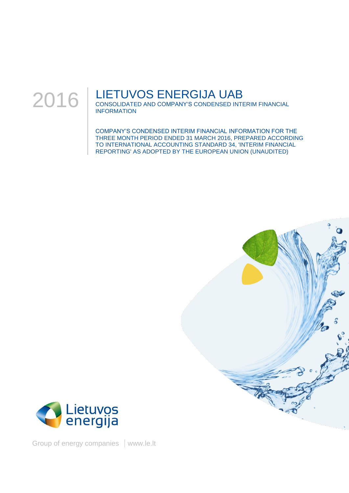

# LIETUVOS ENERGIJA UAB

CONSOLIDATED AND COMPANY'S CONDENSED INTERIM FINANCIAL INFORMATION

COMPANY'S CONDENSED INTERIM FINANCIAL INFORMATION FOR THE THREE MONTH PERIOD ENDED 31 MARCH 2016, PREPARED ACCORDING TO INTERNATIONAL ACCOUNTING STANDARD 34, 'INTERIM FINANCIAL REPORTING' AS ADOPTED BY THE EUROPEAN UNION (UNAUDITED)





Group of energy companies | www.le.lt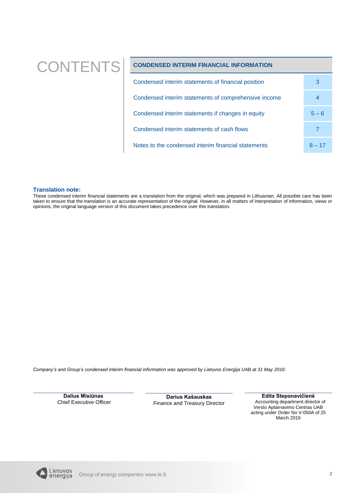# CONTENTS **CONDENSED INTERIM FINANCIAL INFORMATION**

| Condensed interim statements of financial position   | 3        |
|------------------------------------------------------|----------|
| Condensed interim statements of comprehensive income |          |
| Condensed interim statements if changes in equity    | $5 - 6$  |
| Condensed interim statements of cash flows           |          |
| Notes to the condensed interim financial statements  | $8 - 17$ |

### **Translation note:**

These condensed interim financial statements are a translation from the original, which was prepared in Lithuanian. All possible care has been taken to ensure that the translation is an accurate representation of the original. However, in all matters of interpretation of information, views or opinions, the original language version of this document takes precedence over this translation.

*Company's and Group's condensed interim financial information was approved by Lietuvos Energija UAB at 31 May 2016:* 

**Dalius Misiūnas** Chief Executive Officer

**Darius Kašauskas** Finance and Treasury Director

**Edita Steponavičienė** Accounting department director of Verslo Aptarnavimo Centras UAB acting under Order No V-050A of 25 March 2016

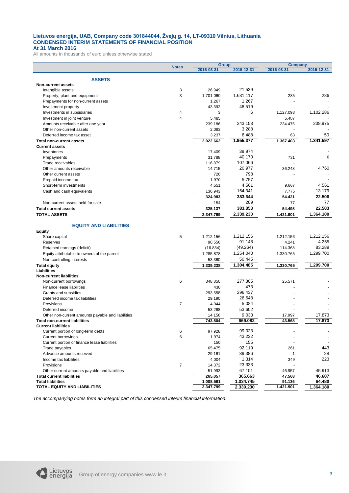#### **Lietuvos energija, UAB, Company code 301844044, Žvejų g. 14, LT-09310 Vilnius, Lithuania CONDENSED INTERIM STATEMENTS OF FINANCIAL POSITION At 31 March 2016**

All amounts in thousands of euro unless otherwise stated

<span id="page-2-2"></span><span id="page-2-1"></span><span id="page-2-0"></span>

|                                                                     |                     | <b>Group</b>   |            | <b>Company</b> |            |
|---------------------------------------------------------------------|---------------------|----------------|------------|----------------|------------|
|                                                                     | <b>Notes</b>        | 2016-03-31     | 2015-12-31 | 2016-03-31     | 2015-12-31 |
|                                                                     |                     |                |            |                |            |
| <b>ASSETS</b>                                                       |                     |                |            |                |            |
| <b>Non-current assets</b>                                           | 3                   | 26.949         | 21.539     |                |            |
| Intangible assets                                                   | 3                   | 1.701.060      | 1.631.117  | 285            | 286        |
| Property, plant and equipment<br>Prepayments for non-current assets |                     | 1.267          | 1.267      |                |            |
|                                                                     |                     | 43.392         | 48.519     |                |            |
| Investment property                                                 |                     | 3              | 6          | 1.127.093      | 1.102.286  |
| Investments in subsidiaries                                         | 4<br>$\overline{4}$ | 5.485          |            | 5.487          |            |
| Investment in joint venture                                         |                     | 239.186        | 243.153    | 234.475        | 238.975    |
| Amounts receivable after one year                                   |                     |                | 3.288      |                |            |
| Other non-current assets<br>Deferred income tax asset               |                     | 2.083<br>3.237 | 6.488      | 63             | 50         |
|                                                                     |                     |                | 1.955.377  | 1.367.403      | 1.341.597  |
| <b>Total non-current assets</b>                                     |                     | 2.022.662      |            |                |            |
| <b>Current assets</b><br>Inventories                                |                     | 17.409         | 39.974     |                |            |
| Prepayments                                                         |                     | 31.788         | 40.170     | 731            | 6          |
| Trade receivables                                                   |                     | 116.879        | 107.066    |                |            |
| Other amounts receivable                                            |                     | 14.715         | 20.977     | 36.248         | 4.760      |
| Other current assets                                                |                     | 728            | 798        |                |            |
|                                                                     |                     | 1.970          | 5.757      |                |            |
| Prepaid income tax                                                  |                     | 4.551          | 4.561      | 9.667          | 4.561      |
| Short-term investments<br>Cash and cash equivalents                 |                     | 136.943        | 164.341    | 7.775          | 13.179     |
|                                                                     |                     | 324.983        | 383.644    |                | 22.506     |
| Non-current assets held for sale                                    |                     |                | 209        | 54.421         | 77         |
|                                                                     |                     | 154            | 383.853    | 77             | 22.583     |
| <b>Total current assets</b>                                         |                     | 325.137        |            | 54.498         |            |
| <b>TOTAL ASSETS</b>                                                 |                     | 2.347.799      | 2.339.230  | 1.421.901      | 1.364.180  |
|                                                                     |                     |                |            |                |            |
| <b>EQUITY AND LIABILITIES</b>                                       |                     |                |            |                |            |
| <b>Equity</b><br>Share capital                                      | 5                   | 1.212.156      | 1.212.156  | 1.212.156      | 1.212.156  |
| Reserves                                                            |                     | 90.556         | 91.148     | 4.241          | 4.255      |
| Retained earnings (deficit)                                         |                     | (16.834)       | (49.264)   | 114.368        | 83.289     |
|                                                                     |                     | 1.285.878      | 1.254.040  | 1.330.765      | 1.299.700  |
| Equity attributable to owners of the parent                         |                     |                | 50.445     |                |            |
| Non-controlling interests                                           |                     | 53.360         |            |                |            |
| <b>Total equity</b><br>Liabilities                                  |                     | 1.339.238      | 1.304.485  | 1.330.765      | 1.299.700  |
| <b>Non-current liabilities</b>                                      |                     |                |            |                |            |
| Non-current borrowings                                              | 6                   | 348.850        | 277.805    | 25.571         |            |
| Finance lease liabilities                                           |                     | 438            | 473        |                |            |
| Grants and subsidies                                                |                     | 293.558        | 296.437    |                |            |
| Deferred income tax liabilities                                     |                     | 29.190         | 26.648     |                |            |
| Provisions                                                          | $\overline{7}$      | 4.044          | 5.084      |                |            |
| Deferred income                                                     |                     | 53.268         | 53.602     |                |            |
| Other non-current amounts payable and liabilities                   |                     | 14.156         | 9.033      | 17.997         | 17.873     |
| <b>Total non-current liabilities</b>                                |                     | 743.504        | 669.082    | 43.568         | 17.873     |
| <b>Current liabilities</b>                                          |                     |                |            |                |            |
| Current portion of long-term debts                                  | 6                   | 97.928         | 99.023     |                |            |
| <b>Current borrowings</b>                                           | 6                   | 1.974          | 43.232     |                |            |
| Current portion of finance lease liabilities                        |                     | 150            | 155        |                |            |
| Trade payables                                                      |                     | 65.475         | 92.119     | 261            | 443        |
| Advance amounts received                                            |                     | 29.161         | 39.386     | 1              | 28         |
| Income tax liabilities                                              |                     | 4.004          | 1.314      | 349            | 223        |
| Provisions                                                          | $\overline{7}$      | 14.372         | 23.333     |                |            |
| Other current amounts payable and liabilities                       |                     | 51.993         | 67.101     | 46.957         | 45.913     |
| <b>Total current liabilities</b>                                    |                     | 265.057        | 365.663    | 47.568         | 46.607     |
| <b>Total liabilities</b>                                            |                     | 1.008.561      | 1.034.745  | 91.136         | 64.480     |
| <b>TOTAL EQUITY AND LIABILITIES</b>                                 |                     | 2.347.799      | 2.339.230  | 1.421.901      | 1.364.180  |
|                                                                     |                     |                |            |                |            |

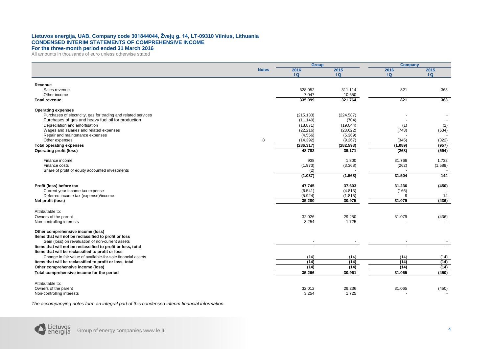#### **Lietuvos energija, UAB, Company code 301844044, Žvejų g. 14, LT-09310 Vilnius, Lithuania CONDENSED INTERIM STATEMENTS OF COMPREHENSIVE INCOME For the three-month period ended 31 March 2016**

All amounts in thousands of euro unless otherwise stated

|                                                                                                                      |              | <b>Group</b>          |                   | <b>Company</b> |         |
|----------------------------------------------------------------------------------------------------------------------|--------------|-----------------------|-------------------|----------------|---------|
|                                                                                                                      | <b>Notes</b> | 2016                  | 2015              | 2016           | 2015    |
|                                                                                                                      |              | $\overline{a}$        | Q                 | Q              | Q       |
| Revenue                                                                                                              |              |                       |                   |                |         |
| Sales revenue                                                                                                        |              | 328.052               | 311.114           | 821            | 363     |
| Other income                                                                                                         |              | 7.047                 | 10.650            |                | $\sim$  |
| <b>Total revenue</b>                                                                                                 |              | 335.099               | 321.764           | 821            | 363     |
|                                                                                                                      |              |                       |                   |                |         |
| <b>Operating expenses</b>                                                                                            |              |                       |                   |                |         |
| Purchases of electricity, gas for trading and related services<br>Purchases of gas and heavy fuel oil for production |              | (215.133)<br>(11.149) | (224.587)         |                |         |
| Depreciation and amortisation                                                                                        |              | (18.871)              | (704)<br>(19.044) | (1)            | (1)     |
| Wages and salaries and related expenses                                                                              |              | (22.216)              | (23.622)          | (743)          | (634)   |
| Repair and maintenance expenses                                                                                      |              | (4.556)               | (5.369)           |                |         |
| Other expenses                                                                                                       | 8            | (14.392)              | (9.267)           | (345)          | (322)   |
| <b>Total operating expenses</b>                                                                                      |              | (286.317)             | (282.593)         | (1.089)        | (957)   |
| <b>Operating profit (loss)</b>                                                                                       |              | 48.782                | 39.171            | (268)          | (594)   |
|                                                                                                                      |              |                       |                   |                |         |
| Finance income                                                                                                       |              | 938                   | 1.800             | 31.766         | 1.732   |
| Finance costs<br>Share of profit of equity accounted investments                                                     |              | (1.973)<br>(2)        | (3.368)           | (262)          | (1.588) |
|                                                                                                                      |              | (1.037)               | (1.568)           | 31.504         | 144     |
|                                                                                                                      |              |                       |                   |                |         |
| Profit (loss) before tax                                                                                             |              | 47.745                | 37.603            | 31.236         | (450)   |
| Current year income tax expense                                                                                      |              | (6.541)               | (4.813)           | (166)          |         |
| Deferred income tax (expense)/income                                                                                 |              | (5.924)               | (1.815)           | 9              | 14      |
| Net profit (loss)                                                                                                    |              | 35.280                | 30.975            | 31.079         | (436)   |
| Attributable to:                                                                                                     |              |                       |                   |                |         |
| Owners of the parent                                                                                                 |              | 32.026                | 29.250            | 31.079         | (436)   |
| Non-controlling interests                                                                                            |              | 3.254                 | 1.725             |                |         |
|                                                                                                                      |              |                       |                   |                |         |
| Other comprehensive income (loss)                                                                                    |              |                       |                   |                |         |
| Items that will not be reclassified to profit or loss                                                                |              |                       |                   |                |         |
| Gain (loss) on revaluation of non-current assets<br>Items that will not be reclassified to profit or loss, total     |              |                       |                   |                |         |
| Items that will be reclassified to profit or loss                                                                    |              |                       |                   |                |         |
| Change in fair value of available-for-sale financial assets                                                          |              | (14)                  | (14)              | (14)           | (14)    |
| Items that will be reclassified to profit or loss, total                                                             |              | (14)                  | (14)              | (14)           | (14)    |
| Other comprehensive income (loss)                                                                                    |              | (14)                  | (14)              | (14)           | (14)    |
| Total comprehensive income for the period                                                                            |              | 35.266                | 30.961            | 31.065         | (450)   |
|                                                                                                                      |              |                       |                   |                |         |
| Attributable to:                                                                                                     |              |                       |                   |                |         |
| Owners of the parent                                                                                                 |              | 32.012                | 29.236            | 31.065         | (450)   |
| Non-controlling interests                                                                                            |              | 3.254                 | 1.725             |                |         |

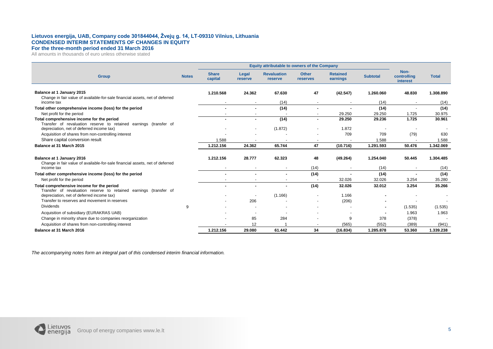#### **Lietuvos energija, UAB, Company code 301844044, Žvejų g. 14, LT-09310 Vilnius, Lithuania CONDENSED INTERIM STATEMENTS OF CHANGES IN EQUITY For the three-month period ended 31 March 2016**

All amounts in thousands of euro unless otherwise stated

|                                                                                                           |              | Equity attributable to owners of the Company |                          |                               |                          |                             |                 |                                 |              |
|-----------------------------------------------------------------------------------------------------------|--------------|----------------------------------------------|--------------------------|-------------------------------|--------------------------|-----------------------------|-----------------|---------------------------------|--------------|
| <b>Group</b>                                                                                              | <b>Notes</b> | <b>Share</b><br>capital                      | Legal<br>reserve         | <b>Revaluation</b><br>reserve | <b>Other</b><br>reserves | <b>Retained</b><br>earnings | <b>Subtotal</b> | Non-<br>controlling<br>interest | <b>Total</b> |
|                                                                                                           |              |                                              |                          |                               |                          |                             |                 |                                 |              |
| Balance at 1 January 2015<br>Change in fair value of available-for-sale financial assets, net of deferred |              | 1.210.568                                    | 24.362                   | 67.630                        | 47                       | (42.547)                    | 1.260.060       | 48.830                          | 1.308.890    |
| income tax                                                                                                |              |                                              |                          | (14)                          |                          |                             | (14)            |                                 | (14)         |
| Total other comprehensive income (loss) for the period                                                    |              | $\blacksquare$                               | ۰                        | (14)                          |                          | ۰                           | (14)            |                                 | (14)         |
| Net profit for the period                                                                                 |              |                                              |                          |                               |                          | 29.250                      | 29.250          | 1.725                           | 30.975       |
| Total comprehensive income for the period                                                                 |              |                                              |                          | (14)                          |                          | 29.250                      | 29.236          | 1.725                           | 30.961       |
| Transfer of revaluation reserve to retained earnings (transfer of                                         |              |                                              |                          |                               |                          | 1.872                       |                 |                                 |              |
| depreciation, net of deferred income tax)<br>Acquisition of shares from non-controlling interest          |              |                                              |                          | (1.872)                       |                          | 709                         | 709             | (79)                            | 630          |
| Share capital conversion result                                                                           |              | 1.588                                        |                          |                               | $\blacksquare$           |                             | 1.588           |                                 | 1.588        |
| Balance at 31 March 2015                                                                                  |              | 1.212.156                                    | 24.362                   | 65.744                        | 47                       | (10.716)                    | 1.291.593       | 50.476                          | 1.342.069    |
|                                                                                                           |              |                                              |                          |                               |                          |                             |                 |                                 |              |
| Balance at 1 January 2016<br>Change in fair value of available-for-sale financial assets, net of deferred |              | 1.212.156                                    | 28.777                   | 62.323                        | 48                       | (49.264)                    | 1.254.040       | 50.445                          | 1.304.485    |
| income tax                                                                                                |              |                                              |                          | $\overline{\phantom{a}}$      | (14)                     |                             | (14)            |                                 | (14)         |
| Total other comprehensive income (loss) for the period                                                    |              | $\blacksquare$                               | ۰                        | $\blacksquare$                | (14)                     | $\overline{\phantom{a}}$    | (14)            | $\blacksquare$                  | (14)         |
| Net profit for the period                                                                                 |              |                                              | $\overline{\phantom{a}}$ | $\overline{\phantom{a}}$      |                          | 32.026                      | 32.026          | 3.254                           | 35.280       |
| Total comprehensive income for the period                                                                 |              |                                              |                          |                               | (14)                     | 32.026                      | 32.012          | 3.254                           | 35.266       |
| Transfer of revaluation reserve to retained earnings (transfer of                                         |              |                                              |                          |                               |                          |                             |                 |                                 |              |
| depreciation, net of deferred income tax)                                                                 |              |                                              |                          | (1.166)                       |                          | 1.166                       |                 |                                 |              |
| Transfer to reserves and movement in reserves                                                             |              |                                              | 206                      |                               |                          | (206)                       |                 |                                 |              |
| <b>Dividends</b>                                                                                          | 9            |                                              |                          |                               |                          |                             |                 | (1.535)                         | (1.535)      |
| Acquisition of subsidiary (EURAKRAS UAB)                                                                  |              |                                              |                          |                               |                          |                             |                 | 1.963                           | 1.963        |
| Change in minority share due to companies reorganization                                                  |              |                                              | 85                       | 284                           |                          | 9                           | 378             | (378)                           |              |
| Acquisition of shares from non-controlling interest                                                       |              |                                              | 12                       |                               |                          | (565)                       | (552)           | (389)                           | (941)        |
| Balance at 31 March 2016                                                                                  |              | 1.212.156                                    | 29.080                   | 61.442                        | 34                       | (16.834)                    | 1.285.878       | 53.360                          | 1.339.238    |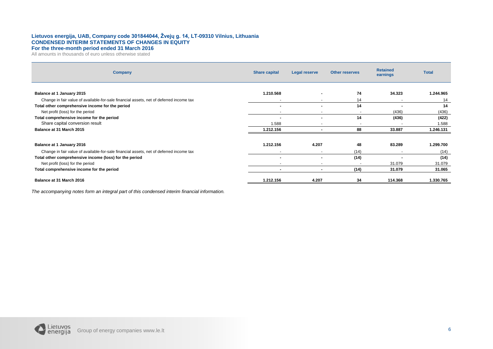#### **Lietuvos energija, UAB, Company code 301844044, Žvejų g. 14, LT-09310 Vilnius, Lithuania CONDENSED INTERIM STATEMENTS OF CHANGES IN EQUITY For the three-month period ended 31 March 2016**

All amounts in thousands of euro unless otherwise stated

| Company                                                                                 | <b>Share capital</b>     | Legal reserve | <b>Other reserves</b> | <b>Retained</b><br>earnings | <b>Total</b> |
|-----------------------------------------------------------------------------------------|--------------------------|---------------|-----------------------|-----------------------------|--------------|
|                                                                                         |                          |               |                       |                             |              |
| Balance at 1 January 2015                                                               | 1.210.568                |               | 74                    | 34.323                      | 1.244.965    |
| Change in fair value of available-for-sale financial assets, net of deferred income tax |                          |               | 14                    |                             | 14           |
| Total other comprehensive income for the period                                         | $\blacksquare$           |               | 14                    | $\overline{\phantom{a}}$    | 14           |
| Net profit (loss) for the period                                                        | $\sim$                   |               |                       | (436)                       | (436)        |
| Total comprehensive income for the period                                               | $\overline{\phantom{a}}$ |               | 14                    | (436)                       | (422)        |
| Share capital conversion result                                                         | 1.588                    |               |                       |                             | 1.588        |
| Balance at 31 March 2015                                                                | 1.212.156                |               | 88                    | 33.887                      | 1.246.131    |
| Balance at 1 January 2016                                                               | 1.212.156                | 4.207         | 48                    | 83.289                      | 1.299.700    |
|                                                                                         |                          |               |                       |                             |              |
| Change in fair value of available-for-sale financial assets, net of deferred income tax |                          |               | (14)                  |                             | (14)         |
| Total other comprehensive income (loss) for the period                                  |                          |               | (14)                  |                             | (14)         |
| Net profit (loss) for the period                                                        | $\overline{\phantom{a}}$ |               |                       | 31.079                      | 31.079       |
| Total comprehensive income for the period                                               |                          |               | (14)                  | 31.079                      | 31.065       |
| Balance at 31 March 2016                                                                | 1.212.156                | 4.207         | 34                    | 114.368                     | 1.330.765    |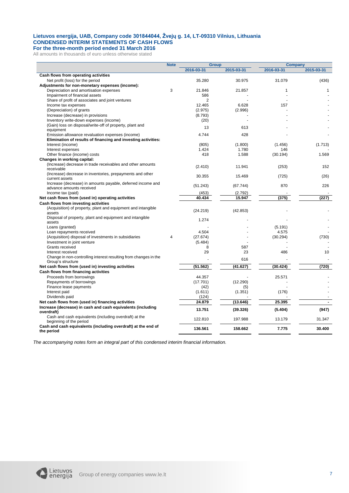#### **Lietuvos energija, UAB, Company code 301844044, Žvejų g. 14, LT-09310 Vilnius, Lithuania CONDENSED INTERIM STATEMENTS OF CASH FLOWS For the three-month period ended 31 March 2016**

All amounts in thousands of euro unless otherwise stated

|                                                                  | <b>Note</b>              | <b>Group</b>   |            | <b>Company</b> |                |
|------------------------------------------------------------------|--------------------------|----------------|------------|----------------|----------------|
|                                                                  |                          | 2016-03-31     | 2015-03-31 | 2016-03-31     | 2015-03-31     |
| Cash flows from operating activities                             |                          |                |            |                |                |
| Net profit (loss) for the period                                 |                          | 35.280         | 30.975     | 31.079         | (436)          |
| Adjustments for non-monetary expenses (income):                  |                          |                |            |                |                |
| Depreciation and amortisation expenses                           | 3                        | 21.846         | 21.857     | 1              | 1              |
| Impairment of financial assets                                   |                          | 586            |            |                |                |
| Share of profit of associates and joint ventures                 |                          | $\overline{2}$ |            |                |                |
| Income tax expenses                                              |                          | 12.465         | 6.628      | 157            |                |
| (Depreciation) of grants                                         |                          | (2.975)        | (2.996)    |                |                |
| Increase (decrease) in provisions                                |                          | (8.793)        |            |                |                |
| Inventory write-down expenses (income)                           |                          | (20)           |            |                |                |
| (Gain) loss on disposal/write-off of property, plant and         |                          |                |            |                |                |
| equipment                                                        |                          | 13             | 613        |                |                |
| Emission allowance revaluation expenses (income)                 |                          | 4.744          | 428        |                |                |
| Elimination of results of financing and investing activities:    |                          |                |            |                |                |
| Interest (income)                                                |                          | (805)          | (1.800)    | (1.456)        | (1.713)        |
| Interest expenses                                                |                          | 1.424          | 1.780      | 146            |                |
| Other finance (income) costs                                     |                          | 418            | 1.588      | (30.194)       | 1.569          |
| Changes in working capital:                                      |                          |                |            |                |                |
| (Increase) decrease in trade receivables and other amounts       |                          |                |            |                |                |
| receivable                                                       |                          | (2.410)        | 11.941     | (253)          | 152            |
| (Increase) decrease in inventories, prepayments and other        |                          | 30.355         | 15.469     |                |                |
| current assets                                                   |                          |                |            | (725)          | (26)           |
| Increase (decrease) in amounts payable, deferred income and      |                          | (51.243)       | (67.744)   | 870            | 226            |
| advance amounts received                                         |                          |                |            |                |                |
| Income tax (paid)                                                |                          | (453)          | (2.792)    |                |                |
| Net cash flows from (used in) operating activities               |                          | 40.434         | 15.947     | (375)          | (227)          |
| Cash flows from investing activities                             |                          |                |            |                |                |
| (Acquisition) of property, plant and equipment and intangible    |                          | (24.219)       |            |                |                |
| assets                                                           |                          |                | (42.853)   |                |                |
| Disposal of property, plant and equipment and intangible         |                          | 1.274          |            |                |                |
| assets                                                           |                          |                |            |                |                |
| Loans (granted)                                                  |                          |                |            | (5.191)        |                |
| Loan repayments received                                         |                          | 4.504          |            | 4.575          |                |
| (Acquisition) disposal of investments in subsidiaries            | $\overline{\mathcal{A}}$ | (27.674)       |            | (30.294)       | (730)          |
| Investment in joint venture                                      |                          | (5.484)        |            |                |                |
| Grants received                                                  |                          | 8              | 587        |                |                |
| Interest received                                                |                          | 29             | 23         | 486            | 10             |
| Change in non-controlling interest resulting from changes in the |                          |                | 616        |                |                |
| Group's structure                                                |                          |                |            |                |                |
| Net cash flows from (used in) investing activities               |                          | (51.562)       | (41.627)   | (30.424)       | (720)          |
| Cash flows from financing activities                             |                          |                |            |                |                |
| Proceeds from borrowings                                         |                          | 44.357         |            | 25.571         |                |
| Repayments of borrowings                                         |                          | (17.701)       | (12.290)   |                |                |
| Finance lease payments                                           |                          | (42)           | (5)        |                |                |
| Interest paid                                                    |                          | (1.611)        | (1.351)    | (176)          |                |
| Dividends paid                                                   |                          | (124)          |            |                |                |
| Net cash flows from (used in) financing activities               |                          | 24.879         | (13.646)   | 25.395         | $\blacksquare$ |
| Increase (decrease) in cash and cash equivalents (including      |                          | 13.751         |            |                | (947)          |
| overdraft)                                                       |                          |                | (39.326)   | (5.404)        |                |
| Cash and cash equivalents (including overdraft) at the           |                          | 122.810        | 197.988    | 13.179         | 31.347         |
| beginning of the period                                          |                          |                |            |                |                |
| Cash and cash equivalents (including overdraft) at the end of    |                          | 136.561        | 158.662    | 7.775          | 30.400         |
| the period                                                       |                          |                |            |                |                |

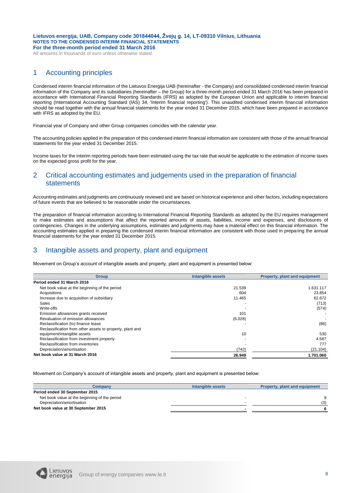All amounts in thousands of euro unless otherwise stated

# 1 Accounting principles

Condensed interim financial information of the Lietuvos Energija UAB (hereinafter - the Company) and consolidated condensed interim financial information of the Company and its subsidiaries (hereinafter – the Group) for a three-month period ended 31 March 2016 has been prepared in accordance with International Financial Reporting Standards (IFRS) as adopted by the European Union and applicable to interim financial reporting (International Accounting Standard (IAS) 34, 'Interim financial reporting'). This unaudited condensed interim financial information should be read together with the annual financial statements for the year ended 31 December 2015, which have been prepared in accordance with IFRS as adopted by the EU.

Financial year of Company and other Group companies coincides with the calendar year.

The accounting policies applied in the preparation of this condensed interim financial information are consistent with those of the annual financial statements for the year ended 31 December 2015.

Income taxes for the interim reporting periods have been estimated using the tax rate that would be applicable to the estimation of income taxes on the expected gross profit for the year.

# 2 Critical accounting estimates and judgements used in the preparation of financial statements

Accounting estimates and judgments are continuously reviewed and are based on historical experience and other factors, including expectations of future events that are believed to be reasonable under the circumstances.

The preparation of financial information according to International Financial Reporting Standards as adopted by the EU requires management to make estimates and assumptions that affect the reported amounts of assets, liabilities, income and expenses, and disclosures of contingencies. Changes in the underlying assumptions, estimates and judgments may have a material effect on this financial information. The accounting estimates applied in preparing the condensed interim financial information are consistent with those used in preparing the annual financial statements for the year ended 31 December 2015.

# 3 Intangible assets and property, plant and equipment

Movement on Group's account of intangible assets and property, plant and equipment is presented below:

| <b>Group</b>                                              | <b>Intangible assets</b> | Property, plant and equipment |
|-----------------------------------------------------------|--------------------------|-------------------------------|
| Period ended 31 March 2016                                |                          |                               |
| Net book value at the beginning of the period             | 21.539                   | 1.631.117                     |
| Acquisitions                                              | 604                      | 23.854                        |
| Increase due to acquisition of subsidiary                 | 11.465                   | 62.672                        |
| <b>Sales</b>                                              |                          | (713)                         |
| Write-offs                                                |                          | (574)                         |
| Emission allowances grants received                       | 101                      |                               |
| Revaluation of emission allowances                        | (6.028)                  |                               |
| Reclassification (to) finance lease                       |                          | (86)                          |
| Reclassification from other assets to property, plant and |                          |                               |
| equipment/intangible assets                               | 10                       | 530                           |
| Reclassification from investment property                 |                          | 4.587                         |
| Reclassification from inventories                         |                          | 777                           |
| Depreciation/amortisation                                 | (742)                    | (21.104)                      |
| Net book value at 31 March 2016                           | 26.949                   | 1.701.060                     |

Movement on Company's account of intangible assets and property, plant and equipment is presented below:

| <b>Company</b>                                | Intangible assets | Property, plant and equipment |
|-----------------------------------------------|-------------------|-------------------------------|
| Period ended 30 September 2015                |                   |                               |
| Net book value at the beginning of the period |                   |                               |
| Depreciation/amortisation                     |                   | (3)                           |
| Net book value at 30 September 2015           |                   |                               |

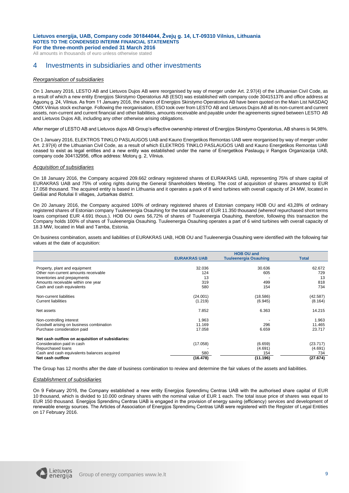All amounts in thousands of euro unless otherwise stated

### 4 Investments in subsidiaries and other investments

#### *Reorganisation of subsidiaries*

On 1 January 2016, LESTO AB and Lietuvos Dujos AB were reorganised by way of merger under Art. 2.97(4) of the Lithuanian Civil Code, as a result of which a new entity Energijos Skirstymo Operatorius AB (ESO) was established with company code 304151376 and office address at Aguonų g. 24, Vilnius. As from 11 January 2016, the shares of Energijos Skirstymo Operatorius AB have been quoted on the Main List NASDAQ OMX Vilnius stock exchange. Following the reorganisation, ESO took over from LESTO AB and Lietuvos Dujos AB all its non-current and current assets, non-current and current financial and other liabilities, amounts receivable and payable under the agreements signed between LESTO AB and Lietuvos Dujos AB, including any other otherwise arising obligations.

After merger of LESTO AB and Lietuvos dujos AB Group's effective ownership interest of Energijos Skirstymo Operatorius, AB shares is 94,98%.

On 1 January 2016, ELEKTROS TINKLO PASLAUGOS UAB and Kauno Energetikos Remontas UAB were reorganised by way of merger under Art. 2.97(4) of the Lithuanian Civil Code, as a result of which ELEKTROS TINKLO PASLAUGOS UAB and Kauno Energetikos Remontas UAB ceased to exist as legal entities and a new entity was established under the name of Energetikos Paslaugų ir Rangos Organizacija UAB, company code 304132956, office address: Motorų g. 2, Vilnius.

#### *Acquisition of subsidiaries*

On 18 January 2016, the Company acquired 209.662 ordinary registered shares of EURAKRAS UAB, representing 75% of share capital of EURAKRAS UAB and 75% of voting rights during the General Shareholders Meeting. The cost of acquisition of shares amounted to EUR 17.058 thousand. The acquired entity is based in Lithuania and it operates a park of 8 wind turbines with overall capacity of 24 MW, located in Geišiai and Rotuliai II villages, Jurbarkas district.

On 20 January 2016, the Company acquired 100% of ordinary registered shares of Estonian company HOB OU and 43,28% of ordinary registered shares of Estonian company Tuuleenergia Osauhing for the total amount of EUR 11.350 thousand (whereof repurchased short terms loans comprised EUR 4.691 thous.). HOB OU owns 56,72% of shares of Tuuleenergia Osauhing, therefore, following this transaction the Company holds 100% of shares of Tuuleenergia Osauhing. Tuuleenergia Osauhing operates a part of 6 wind turbines with overall capacity of 18.3 MW, located in Mali and Tamba, Estonia.

On business combination, assets and liabilities of EURAKRAS UAB, HOB OU and Tuuleenergia Osauhing were identified with the following fair values at the date of acquisition:

|                                                  | <b>HOB OU and</b>   |                              |              |  |  |
|--------------------------------------------------|---------------------|------------------------------|--------------|--|--|
|                                                  | <b>EURAKRAS UAB</b> | <b>Tuuleenergia Osauhing</b> | <b>Total</b> |  |  |
|                                                  |                     |                              |              |  |  |
| Property, plant and equipment                    | 32.036              | 30.636                       | 62.672       |  |  |
| Other non-current amounts receivable             | 124                 | 605                          | 729          |  |  |
| Inventories and prepayments                      | 13                  |                              | 13           |  |  |
| Amounts receivable within one year               | 319                 | 499                          | 818          |  |  |
| Cash and cash equivalents                        | 580                 | 154                          | 734          |  |  |
|                                                  |                     |                              |              |  |  |
| Non-current liabilities                          | (24.001)            | (18.586)                     | (42.587)     |  |  |
| <b>Current liabilities</b>                       | (1.219)             | (6.945)                      | (8.164)      |  |  |
|                                                  | 7.852               | 6.363                        | 14.215       |  |  |
| Net assets                                       |                     |                              |              |  |  |
| Non-controlling interest                         | 1.963               |                              | 1.963        |  |  |
| Goodwill arising on business combination         | 11.169              | 296                          | 11.465       |  |  |
| Purchase consideration paid                      | 17.058              | 6.659                        | 23.717       |  |  |
|                                                  |                     |                              |              |  |  |
| Net cash outflow on acquisition of subsidiaries: |                     |                              |              |  |  |
| Consideration paid in cash                       | (17.058)            | (6.659)                      | (23.717)     |  |  |
| Repurchased loans                                |                     | (4.691)                      | (4.691)      |  |  |
| Cash and cash equivalents balances acquired      | 580                 | 154                          | 734          |  |  |
| Net cash outflow                                 | (16.478)            | (11.196)                     | (27.674)     |  |  |

The Group has 12 months after the date of business combination to review and determine the fair values of the assets and liabilities.

#### *Establishment of subsidiaries*

On 9 February 2016, the Company established a new entity Energijos Sprendimų Centras UAB with the authorised share capital of EUR 10 thousand, which is divided to 10.000 ordinary shares with the nominal value of EUR 1 each. The total issue price of shares was equal to EUR 150 thousand. Energijos Sprendimų Centras UAB is engaged in the provision of energy saving (efficiency) services and development of renewable energy sources. The Articles of Association of Energijos Sprendimų Centras UAB were registered with the Register of Legal Entities on 17 February 2016.

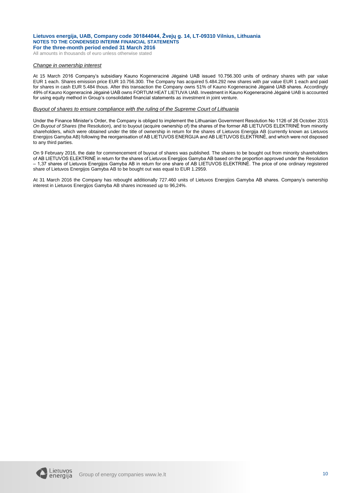All amounts in thousands of euro unless otherwise stated

#### *Change in ownership interest*

At 15 March 2016 Company's subsidiary Kauno Kogeneracinė Jėgainė UAB issued 10.756.300 units of ordinary shares with par value EUR 1 each. Shares emission price EUR 10.756.300. The Company has acquired 5.484.292 new shares with par value EUR 1 each and paid for shares in cash EUR 5.484 thous. After this transaction the Company owns 51% of Kauno Kogeneracinė Jėgainė UAB shares. Accordingly 49% of Kauno Kogeneracinė Jėgainė UAB owns FORTUM HEAT LIETUVA UAB. Investment in Kauno Kogeneracinė Jėgainė UAB is accounted for using equity method in Group's consolidated financial statements as investment in joint venture.

#### *Buyout of shares to ensure compliance with the ruling of the Supreme Court of Lithuania*

Under the Finance Minister's Order, the Company is obliged to implement the Lithuanian Government Resolution No 1126 of 26 October 2015 *On Buyout of Shares* (the Resolution), and to buyout (acquire ownership of) the shares of the former AB LIETUVOS ELEKTRINĖ from minority shareholders, which were obtained under the title of ownership in return for the shares of Lietuvos Energija AB (currently known as Lietuvos Energijos Gamyba AB) following the reorganisation of AB LIETUVOS ENERGIJA and AB LIETUVOS ELEKTRINĖ, and which were not disposed to any third parties.

On 9 February 2016, the date for commencement of buyout of shares was published. The shares to be bought out from minority shareholders of AB LIETUVOS ELEKTRINĖ in return for the shares of Lietuvos Energijos Gamyba AB based on the proportion approved under the Resolution – 1,37 shares of Lietuvos Energijos Gamyba AB in return for one share of AB LIETUVOS ELEKTRINĖ. The price of one ordinary registered share of Lietuvos Energijos Gamyba AB to be bought out was equal to EUR 1.2959.

At 31 March 2016 the Company has rebought additionally 727.460 units of Lietuvos Energijos Gamyba AB shares. Company's ownership interest in Lietuvos Energijos Gamyba AB shares increased up to 96,24%.

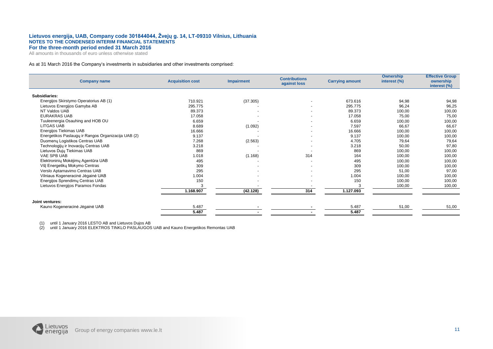All amounts in thousands of euro unless otherwise stated

#### As at 31 March 2016 the Company's investments in subsidiaries and other investments comprised:

| <b>Company name</b>                                 | <b>Acquisition cost</b> | <b>Impairment</b> | <b>Contributions</b><br>against loss | <b>Carrying amount</b> | <b>Ownership</b><br>interest (%) | <b>Effective Group</b><br>ownership<br>interest (%) |
|-----------------------------------------------------|-------------------------|-------------------|--------------------------------------|------------------------|----------------------------------|-----------------------------------------------------|
| Subsidiaries:                                       |                         |                   |                                      |                        |                                  |                                                     |
| Energijos Skirstymo Operatorius AB (1)              | 710.921                 | (37.305)          |                                      | 673.616                | 94,98                            | 94,98                                               |
| Lietuvos Energijos Gamyba AB                        | 295.775                 |                   |                                      | 295.775                | 96,24                            | 96,25                                               |
| NT Valdos UAB                                       | 89.373                  |                   |                                      | 89.373                 | 100,00                           | 100,00                                              |
| <b>EURAKRAS UAB</b>                                 | 17.058                  |                   |                                      | 17.058                 | 75,00                            | 75,00                                               |
| Tuuleenergia Osauhing and HOB OU                    | 6.659                   |                   | $\sim$                               | 6.659                  | 100,00                           | 100,00                                              |
| <b>LITGAS UAB</b>                                   | 8.689                   | (1.092)           |                                      | 7.597                  | 66,67                            | 66,67                                               |
| Energijos Tiekimas UAB                              | 16.666                  |                   |                                      | 16.666                 | 100,00                           | 100,00                                              |
| Energetikos Paslaugų ir Rangos Organizacija UAB (2) | 9.137                   |                   |                                      | 9.137                  | 100,00                           | 100,00                                              |
| Duomenų Logistikos Centras UAB                      | 7.268                   | (2.563)           | $\sim$                               | 4.705                  | 79,64                            | 79,64                                               |
| Technologijų ir Inovacijų Centras UAB               | 3.218                   |                   |                                      | 3.218                  | 50,00                            | 97,80                                               |
| Lietuvos Dujų Tiekimas UAB                          | 869                     |                   |                                      | 869                    | 100,00                           | 100,00                                              |
| VAE SPB UAB                                         | 1.018                   | (1.168)           | 314                                  | 164                    | 100,00                           | 100,00                                              |
| Elektroninių Mokėjimų Agentūra UAB                  | 495                     |                   |                                      | 495                    | 100,00                           | 100,00                                              |
| VšĮ Energetikų Mokymo Centras                       | 309                     |                   |                                      | 309                    | 100,00                           | 100,00                                              |
| Verslo Aptarnavimo Centras UAB                      | 295                     |                   | $\overline{a}$                       | 295                    | 51,00                            | 97,00                                               |
| Vilniaus Kogeneracinė Jėgainė UAB                   | 1.004                   |                   |                                      | 1.004                  | 100,00                           | 100,00                                              |
| Energijos Sprendimų Centras UAB                     | 150                     |                   |                                      | 150                    | 100,00                           | 100,00                                              |
| Lietuvos Energijos Paramos Fondas                   |                         |                   |                                      |                        | 100,00                           | 100,00                                              |
|                                                     | 1.168.907               | (42.128)          | 314                                  | 1.127.093              |                                  |                                                     |
| Joint ventures:                                     |                         |                   |                                      |                        |                                  |                                                     |
| Kauno Kogeneracinė Jėgainė UAB                      | 5.487                   |                   |                                      | 5.487                  | 51,00                            | 51,00                                               |
|                                                     | 5.487                   |                   |                                      | 5.487                  |                                  |                                                     |

(1) until 1 January 2016 LESTO AB and Lietuvos Dujos AB

(2) until 1 January 2016 ELEKTROS TINKLO PASLAUGOS UAB and Kauno Energetikos Remontas UAB

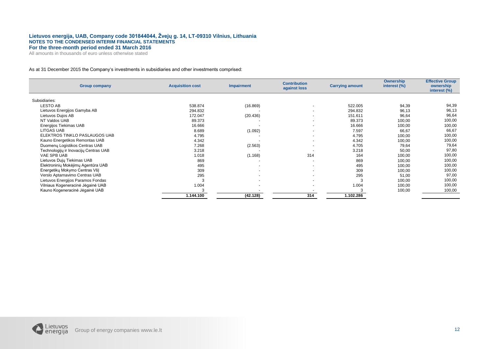All amounts in thousands of euro unless otherwise stated

#### As at 31 December 2015 the Company's investments in subsidiaries and other investments comprised:

| <b>Group company</b>                  | <b>Acquisition cost</b> | <b>Impairment</b>        | <b>Contribution</b><br>against loss | <b>Carrying amount</b> | Ownership<br>interest (%) | <b>Effective Group</b><br>ownership<br>interest (%) |
|---------------------------------------|-------------------------|--------------------------|-------------------------------------|------------------------|---------------------------|-----------------------------------------------------|
| Subsidiaries:                         |                         |                          |                                     |                        |                           |                                                     |
| <b>LESTO AB</b>                       | 538.874                 | (16.869)                 | $\blacksquare$                      | 522.005                | 94,39                     | 94,39                                               |
| Lietuvos Energijos Gamyba AB          | 294.832                 |                          | $\blacksquare$                      | 294.832                | 96,13                     | 96,13                                               |
| Lietuvos Dujos AB                     | 172.047                 | (20.436)                 | $\overline{a}$                      | 151.611                | 96,64                     | 96,64                                               |
| NT Valdos UAB                         | 89.373                  |                          | $\blacksquare$                      | 89.373                 | 100,00                    | 100,00                                              |
| Energijos Tiekimas UAB                | 16.666                  |                          | $\blacksquare$                      | 16.666                 | 100,00                    | 100,00                                              |
| LITGAS UAB                            | 8.689                   | (1.092)                  | $\blacksquare$                      | 7.597                  | 66,67                     | 66,67                                               |
| ELEKTROS TINKLO PASLAUGOS UAB         | 4.795                   |                          | $\blacksquare$                      | 4.795                  | 100,00                    | 100,00                                              |
| Kauno Energetikos Remontas UAB        | 4.342                   |                          | $\overline{a}$                      | 4.342                  | 100,00                    | 100,00                                              |
| Duomenų Logistikos Centras UAB        | 7.268                   | (2.563)                  | $\overline{a}$                      | 4.705                  | 79,64                     | 79,64                                               |
| Technologijų ir Inovacijų Centras UAB | 3.218                   |                          | $\overline{\phantom{a}}$            | 3.218                  | 50,00                     | 97,80                                               |
| VAE SPB UAB                           | 1.018                   | (1.168)                  | 314                                 | 164                    | 100,00                    | 100,00                                              |
| Lietuvos Dujų Tiekimas UAB            | 869                     |                          | $\overline{\phantom{a}}$            | 869                    | 100,00                    | 100,00                                              |
| Elektroninių Mokėjimų Agentūra UAB    | 495                     | $\overline{\phantom{a}}$ | $\overline{a}$                      | 495                    | 100,00                    | 100,00                                              |
| Energetikų Mokymo Centras VšĮ         | 309                     | $\overline{\phantom{a}}$ | $\blacksquare$                      | 309                    | 100,00                    | 100,00                                              |
| Verslo Aptarnavimo Centras UAB        | 295                     |                          | $\overline{a}$                      | 295                    | 51,00                     | 97,00                                               |
| Lietuvos Energijos Paramos Fondas     | 3                       |                          | $\sim$                              |                        | 100,00                    | 100,00                                              |
| Vilniaus Kogeneracinė Jėgainė UAB     | 1.004                   |                          | $\overline{a}$                      | 1.004                  | 100,00                    | 100,00                                              |
| Kauno Kogeneracinė Jėgainė UAB        | 3                       |                          |                                     |                        | 100,00                    | 100,00                                              |
|                                       | 1.144.100               | (42.128)                 | 314                                 | 1.102.286              |                           |                                                     |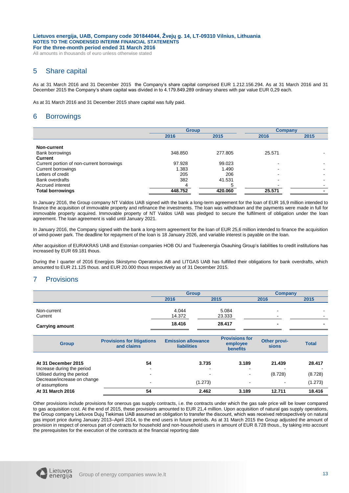All amounts in thousands of euro unless otherwise stated

# 5 Share capital

As at 31 March 2016 and 31 December 2015 the Company's share capital comprised EUR 1.212.156.294. As at 31 March 2016 and 31 December 2015 the Company's share capital was divided in to 4.179.849.289 ordinary shares with par value EUR 0,29 each.

As at 31 March 2016 and 31 December 2015 share capital was fully paid.

# 6 Borrowings

|                                           | <b>Group</b> |         | <b>Company</b> |      |
|-------------------------------------------|--------------|---------|----------------|------|
|                                           | 2016         | 2015    | 2016           | 2015 |
|                                           |              |         |                |      |
| Non-current                               |              |         |                |      |
| Bank borrowings                           | 348.850      | 277.805 | 25.571         |      |
| <b>Current</b>                            |              |         |                |      |
| Current portion of non-current borrowings | 97.928       | 99.023  |                |      |
| Current borrowings                        | 1.383        | 1.490   |                |      |
| Letters of credit                         | 205          | 206     |                |      |
| <b>Bank overdrafts</b>                    | 382          | 41.531  |                |      |
| Accrued interest                          | 4            |         |                |      |
| <b>Total borrowings</b>                   | 448.752      | 420.060 | 25.571         |      |

In January 2016, the Group company NT Valdos UAB signed with the bank a long-term agreement for the loan of EUR 16,9 million intended to finance the acquisition of immovable property and refinance the investments. The loan was withdrawn and the payments were made in full for immovable property acquired. Immovable property of NT Valdos UAB was pledged to secure the fulfilment of obligation under the loan agreement. The loan agreement is valid until January 2021.

In January 2016, the Company signed with the bank a long-term agreement for the loan of EUR 25,6 million intended to finance the acquisition of wind-power park. The deadline for repayment of the loan is 18 January 2026, and variable interest is payable on the loan.

After acquisition of EURAKRAS UAB and Estonian companies HOB OU and Tuuleenergia Osauhing Group's liabilities to credit institutions has increased by EUR 69.181 thous.

During the I quarter of 2016 Energijos Skirstymo Operatorius AB and LITGAS UAB has fulfilled their obligations for bank overdrafts, which amounted to EUR 21.125 thous. and EUR 20.000 thous respectively as of 31 December 2015.

# 7 Provisions

|                        | <b>Group</b> |        | Company                  |                          |  |
|------------------------|--------------|--------|--------------------------|--------------------------|--|
|                        | 2016         | 2015   | 2016                     | 2015                     |  |
| Non-current            | 4.044        | 5.084  | $\sim$                   | $\sim$                   |  |
| Current                | 14.372       | 23.333 | $\overline{\phantom{0}}$ | $\overline{\phantom{0}}$ |  |
| <b>Carrying amount</b> | 18.416       | 28.417 | ۰                        | -                        |  |

| <b>Group</b>                                                                                                   | <b>Provisions for litigations</b><br>and claims | <b>Emission allowance</b><br><b>liabilities</b>      | <b>Provisions for</b><br>employee<br><b>benefits</b> | Other provi-<br>sions    | <b>Total</b>                 |
|----------------------------------------------------------------------------------------------------------------|-------------------------------------------------|------------------------------------------------------|------------------------------------------------------|--------------------------|------------------------------|
| At 31 December 2015<br>Increase during the period<br>Utilised during the period<br>Decrease/increase on change | 54<br>$\overline{\phantom{0}}$                  | 3.735<br>$\overline{\phantom{0}}$<br>$\,$<br>(1.273) | 3.189<br><b>1</b><br>$\overline{\phantom{a}}$        | 21.439<br>(8.728)        | 28.417<br>(8.728)<br>(1.273) |
| of assumptions<br>At 31 March 2016                                                                             | 54                                              | 2.462                                                | 3.189                                                | $\blacksquare$<br>12.711 | 18.416                       |

Other provisions include provisions for onerous gas supply contracts, i.e. the contracts under which the gas sale price will be lower compared to gas acquisition cost. At the end of 2015, these provisions amounted to EUR 21,4 million. Upon acquisition of natural gas supply operations, the Group company Lietuvos Dujų Tiekimas UAB assumed an obligation to transfer the discount, which was received retrospectively on natural gas import price during January 2013–April 2014, to the end users in future periods. As at 31 March 2015 the Group adjusted the amount of provision in respect of onerous part of contracts for household and non-household users in amount of EUR 8.728 thous., by taking into account the prerequisites for the execution of the contracts at the financial reporting date

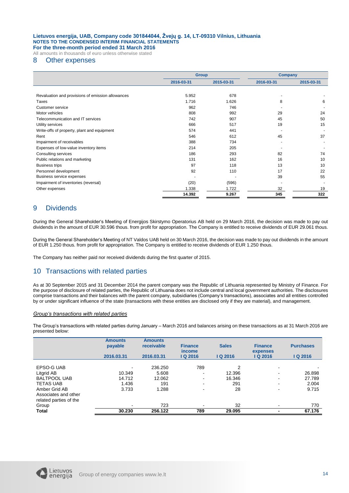All amounts in thousands of euro unless otherwise stated

### 8 Other expenses

|                                                   |            | <b>Group</b> |            | <b>Company</b> |  |
|---------------------------------------------------|------------|--------------|------------|----------------|--|
|                                                   | 2016-03-31 | 2015-03-31   | 2016-03-31 | 2015-03-31     |  |
|                                                   |            |              |            |                |  |
| Revaluation and provisions of emission allowances | 5.952      | 678          |            |                |  |
| Taxes                                             | 1.716      | 1.626        | 8          | 6              |  |
| Customer service                                  | 962        | 746          |            |                |  |
| Motor vehicles                                    | 808        | 992          | 29         | 24             |  |
| Telecommunication and IT services                 | 742        | 907          | 45         | 50             |  |
| Utility services                                  | 666        | 517          | 19         | 15             |  |
| Write-offs of property, plant and equipment       | 574        | 441          |            |                |  |
| Rent                                              | 546        | 612          | 45         | 37             |  |
| Impairment of receivables                         | 388        | 734          |            |                |  |
| Expenses of low-value inventory items             | 214        | 205          |            |                |  |
| Consulting services                               | 186        | 293          | 82         | 74             |  |
| Public relations and marketing                    | 131        | 162          | 16         | 10             |  |
| <b>Business trips</b>                             | 97         | 118          | 13         | 10             |  |
| Personnel development                             | 92         | 110          | 17         | 22             |  |
| Business service expenses                         |            |              | 39         | 55             |  |
| Impairment of inventories (reversal)              | (20)       | (596)        |            |                |  |
| Other expenses                                    | 1.338      | 1.722        | 32         | 19             |  |
|                                                   | 14.392     | 9.267        | 345        | 322            |  |

# 9 Dividends

During the General Shareholder's Meeting of Energijos Skirstymo Operatorius AB held on 29 March 2016, the decision was made to pay out dividends in the amount of EUR 30.596 thous. from profit for appropriation. The Company is entitled to receive dividends of EUR 29.061 thous.

During the General Shareholder's Meeting of NT Valdos UAB held on 30 March 2016, the decision was made to pay out dividends in the amount of EUR 1.250 thous. from profit for appropriation. The Company is entitled to receive dividends of EUR 1.250 thous.

The Company has neither paid nor received dividends during the first quarter of 2015.

## 10 Transactions with related parties

As at 30 September 2015 and 31 December 2014 the parent company was the Republic of Lithuania represented by Ministry of Finance. For the purpose of disclosure of related parties, the Republic of Lithuania does not include central and local government authorities. The disclosures comprise transactions and their balances with the parent company, subsidiaries (Company's transactions), associates and all entities controlled by or under significant influence of the state (transactions with these entities are disclosed only if they are material), and management.

#### *Group's transactions with related parties*

The Group's transactions with related parties during January – March 2016 and balances arising on these transactions as at 31 March 2016 are presented below:

|                                                                 | <b>Amounts</b><br>payable<br>2016.03.31 | <b>Amounts</b><br>receivable<br>2016.03.31 | <b>Finance</b><br><i>income</i><br>IQ 2016 | <b>Sales</b><br>$Q$ 2016 | <b>Finance</b><br>expenses<br>IQ 2016 | <b>Purchases</b><br>IQ 2016 |
|-----------------------------------------------------------------|-----------------------------------------|--------------------------------------------|--------------------------------------------|--------------------------|---------------------------------------|-----------------------------|
|                                                                 |                                         |                                            |                                            |                          |                                       |                             |
| EPSO-G UAB<br>Litgrid AB                                        | $\blacksquare$<br>10.349                | 236.250<br>5.608                           | 789<br>-                                   | 2<br>12.396              | $\blacksquare$<br>-                   | 26.898                      |
| <b>BALTPOOL UAB</b>                                             | 14.712                                  | 12.062                                     | ۰                                          | 16.346                   | ۰                                     | 27.789                      |
| <b>TETAS UAB</b>                                                | 1.436                                   | 191                                        |                                            | 291                      | ۰                                     | 2.004                       |
| Amber Grid AB<br>Associates and other<br>related parties of the | 3.733                                   | 1.288                                      |                                            | 28                       | -                                     | 9.715                       |
| Group                                                           | -                                       | 723                                        |                                            | 32                       |                                       | 770                         |
| Total                                                           | 30.230                                  | 256.122                                    | 789                                        | 29.095                   |                                       | 67.176                      |

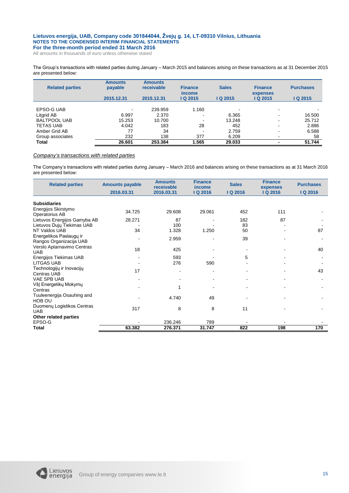All amounts in thousands of euro unless otherwise stated

The Group's transactions with related parties during January – March 2015 and balances arising on these transactions as at 31 December 2015 are presented below:

| <b>Related parties</b> | <b>Amounts</b><br>payable | <b>Amounts</b><br>receivable | <b>Finance</b><br><i>income</i> | <b>Sales</b>  | <b>Finance</b><br>expenses | <b>Purchases</b> |
|------------------------|---------------------------|------------------------------|---------------------------------|---------------|----------------------------|------------------|
|                        | 2015.12.31                | 2015.12.31                   | IQ 2015                         | <b>Q 2015</b> | IQ 2015                    | IQ 2015          |
|                        |                           |                              |                                 |               |                            |                  |
| EPSO-G UAB             | $\,$                      | 239.959                      | 1.160                           |               | ۰                          |                  |
| Litgrid AB             | 6.997                     | 2.370                        |                                 | 6.365         | -                          | 16.500           |
| <b>BALTPOOL UAB</b>    | 15.253                    | 10.700                       |                                 | 13.248        | -                          | 25.712           |
| <b>TETAS UAB</b>       | 4.042                     | 183                          | 28                              | 452           | -                          | 2.886            |
| Amber Grid AB          | 77                        | 34                           |                                 | 2.759         | -                          | 6.588            |
| Group associates       | 232                       | 138                          | 377                             | 6.209         | -                          | 58               |
| <b>Total</b>           | 26.601                    | 253.384                      | 1.565                           | 29.033        | -                          | 51.744           |

#### *Company's transactions with related parties*

The Company's transactions with related parties during January – March 2016 and balances arising on these transactions as at 31 March 2016 are presented below:

| <b>Related parties</b>                             | <b>Amounts payable</b> | <b>Amounts</b><br>receivable | <b>Finance</b><br>income | <b>Sales</b>   | <b>Finance</b><br>expenses | <b>Purchases</b> |
|----------------------------------------------------|------------------------|------------------------------|--------------------------|----------------|----------------------------|------------------|
|                                                    | 2016.03.31             | 2016.03.31                   | IQ 2016                  | IQ 2016        | IQ 2016                    | IQ 2016          |
| <b>Subsidiaries</b>                                |                        |                              |                          |                |                            |                  |
| Energijos Skirstymo<br>Operatorius AB              | 34.725                 | 29.608                       | 29.061                   | 452            | 111                        |                  |
| Lietuvos Energijos Gamyba AB                       | 28.271                 | 87                           |                          | 182            | 87                         |                  |
| Lietuvos Dujų Tiekimas UAB                         |                        | 100                          |                          | 83             |                            |                  |
| NT Valdos UAB                                      | 34                     | 1.328                        | 1.250                    | 50             |                            | 87               |
| Energetikos Paslaugų ir<br>Rangos Organizacija UAB |                        | 2.959                        |                          | 39             |                            |                  |
| Verslo Aptarnavimo Centras<br><b>UAB</b>           | 18                     | 425                          |                          | $\blacksquare$ |                            | 40               |
| Energijos Tiekimas UAB                             |                        | 593                          |                          | 5              |                            |                  |
| <b>LITGAS UAB</b>                                  |                        | 276                          | 590                      |                |                            |                  |
| Technologijų ir Inovacijų<br><b>Centras UAB</b>    | 17                     |                              |                          |                |                            | 43               |
| <b>VAE SPB UAB</b>                                 |                        |                              |                          |                |                            |                  |
| VšĮ Energetikų Mokymų<br>Centras                   |                        | 1                            |                          |                |                            |                  |
| Tuuleenergija Osauhing and<br>HOB OU               |                        | 4.740                        | 49                       |                |                            |                  |
| Duomenų Logistikos Centras<br><b>UAB</b>           | 317                    | 8                            | 8                        | 11             |                            |                  |
| Other related parties                              |                        |                              |                          |                |                            |                  |
| EPSO-G                                             |                        | 236.246                      | 789                      |                |                            |                  |
| <b>Total</b>                                       | 63.382                 | 276.371                      | 31.747                   | 822            | 198                        | 170              |

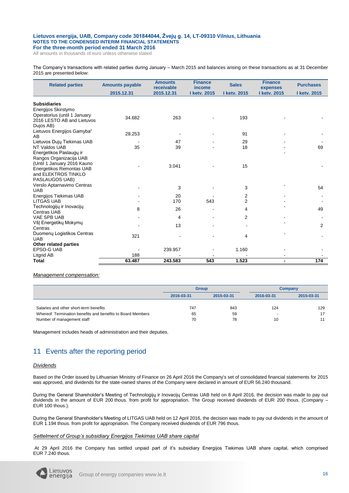All amounts in thousands of euro unless otherwise stated

The Company's transactions with related parties during January – March 2015 and balances arising on these transactions as at 31 December 2015 are presented below:

| <b>Related parties</b>                                  | <b>Amounts payable</b> | <b>Amounts</b><br>receivable | <b>Finance</b><br>income | <b>Sales</b>   | <b>Finance</b><br>expenses | <b>Purchases</b> |
|---------------------------------------------------------|------------------------|------------------------------|--------------------------|----------------|----------------------------|------------------|
|                                                         | 2015.12.31             | 2015.12.31                   | I ketv. 2015             | I ketv. 2015   | I ketv. 2015               | I ketv. 2015     |
| <b>Subsidiaries</b>                                     |                        |                              |                          |                |                            |                  |
| Energijos Skirstymo                                     |                        |                              |                          |                |                            |                  |
| Operatorius (until 1 January                            | 34.682                 | 263                          |                          | 193            |                            |                  |
| 2016 LESTO AB and Lietuvos                              |                        |                              |                          |                |                            |                  |
| Dujos AB)                                               |                        |                              |                          |                |                            |                  |
| Lietuvos Energijos Gamyba"                              | 28.253                 |                              |                          | 91             |                            |                  |
| AB                                                      |                        |                              |                          |                |                            |                  |
| Lietuvos Dujų Tiekimas UAB                              |                        | 47                           |                          | 29             |                            |                  |
| NT Valdos UAB                                           | 35                     | 39                           |                          | 18             |                            | 69               |
| Energetikos Paslaugu ir                                 |                        |                              |                          |                |                            |                  |
| Rangos Organizacija UAB                                 |                        |                              |                          |                |                            |                  |
| (Until 1 January 2016 Kauno<br>Energetikos Remontas UAB |                        | 3.041                        |                          | 15             |                            |                  |
| and ELEKTROS TINKLO                                     |                        |                              |                          |                |                            |                  |
| PASLAUGOS UAB)                                          |                        |                              |                          |                |                            |                  |
| Verslo Aptarnavimo Centras                              |                        |                              |                          |                |                            |                  |
| <b>UAB</b>                                              |                        | 3                            |                          | 3              |                            | 54               |
| Energijos Tiekimas UAB                                  |                        | 20                           |                          | 2              |                            |                  |
| <b>LITGAS UAB</b>                                       |                        | 170                          | 543                      | $\overline{2}$ |                            |                  |
| Technologijų ir Inovacijų                               | 8                      | 26                           |                          |                |                            | 49               |
| <b>Centras UAB</b>                                      |                        |                              |                          | 4              |                            |                  |
| VAE SPB UAB                                             |                        | 4                            |                          | 2              |                            |                  |
| VšJ Energetiky Mokymy                                   |                        | 13                           |                          |                |                            | $\overline{2}$   |
| Centras                                                 |                        |                              |                          |                |                            |                  |
| Duomenų Logistikos Centras                              | 321                    |                              |                          | 4              |                            |                  |
| <b>UAB</b>                                              |                        |                              |                          |                |                            |                  |
| Other related parties                                   |                        |                              |                          |                |                            |                  |
| <b>EPSO-G UAB</b>                                       |                        | 239.957                      |                          | 1.160          |                            |                  |
| Litgrid AB                                              | 188                    |                              |                          |                |                            |                  |
| <b>Total</b>                                            | 63.487                 | 243.583                      | 543                      | 1.523          | $\blacksquare$             | 174              |

#### *Management compensation:*

|                                                             | <b>Group</b>             |     | Company        |            |
|-------------------------------------------------------------|--------------------------|-----|----------------|------------|
|                                                             | 2016-03-31<br>2015-03-31 |     | 2016-03-31     | 2015-03-31 |
| Salaries and other short-term benefits                      | 747                      | 843 | 124            | 129        |
| Whereof: Termination benefits and benefits to Board Members | 65                       | 59  | $\overline{a}$ |            |
| Number of management staff                                  | 70                       | 78  | 10             |            |

Management includes heads of administration and their deputies.

# 11 Events after the reporting period

#### *Dividends*

Based on the Order issued by Lithuanian Ministry of Finance on 26 April 2016 the Company's set of consolidated financial statements for 2015 was approved, and dividends for the state-owned shares of the Company were declared in amount of EUR 56.240 thousand.

During the General Shareholder's Meeting of Technologijų ir Inovacijų Centras UAB held on 8 April 2016, the decision was made to pay out dividends in the amount of EUR 200 thous. from profit for appropriation. The Group received dividends of EUR 200 thous. (Company – EUR 100 thous.).

During the General Shareholder's Meeting of LITGAS UAB held on 12 April 2016, the decision was made to pay out dividends in the amount of EUR 1.194 thous. from profit for appropriation. The Company received dividends of EUR 796 thous.

#### *Settelment of Group's subsidiary Energijos Tiekimas UAB share capital*

At 29 April 2016 the Company has settled unpaid part of it's subsidiary Energijos Tiekimas UAB share capital, which comprised EUR 7.240 thous.